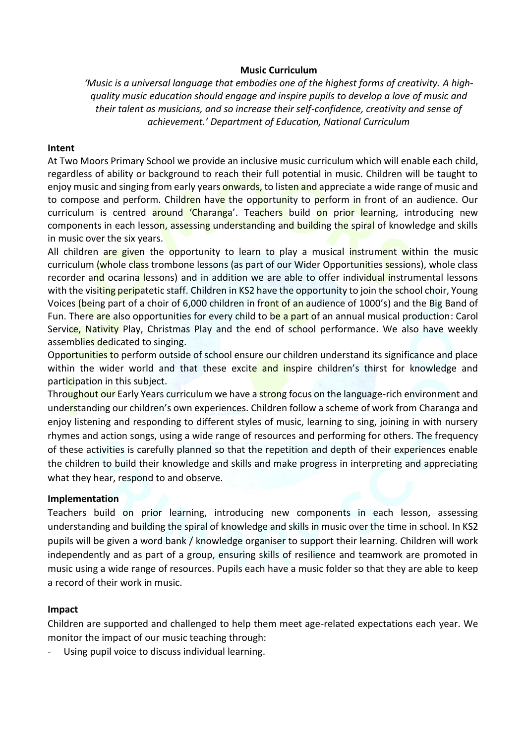## **Music Curriculum**

*'Music is a universal language that embodies one of the highest forms of creativity. A highquality music education should engage and inspire pupils to develop a love of music and their talent as musicians, and so increase their self-confidence, creativity and sense of achievement.' Department of Education, National Curriculum*

## **Intent**

At Two Moors Primary School we provide an inclusive music curriculum which will enable each child, regardless of ability or background to reach their full potential in music. Children will be taught to enjoy music and singing from early years onwards, to listen and appreciate a wide range of music and to compose and perform. Children have the opportunity to perform in front of an audience. Our curriculum is centred around 'Charanga'. Teachers build on prior learning, introducing new components in each lesson, assessing understanding and building the spiral of knowledge and skills in music over the six years.

All children are given the opportunity to learn to play a musical instrument within the music curriculum (whole class trombone lessons (as part of our Wider Opportunities sessions), whole class recorder and ocarina lessons) and in addition we are able to offer individual instrumental lessons with the visiting peripatetic staff. Children in KS2 have the opportunity to join the school choir, Young Voices (being part of a choir of 6,000 children in front of an audience of 1000's) and the Big Band of Fun. There are also opportunities for every child to be a part of an annual musical production: Carol Service, Nativity Play, Christmas Play and the end of school performance. We also have weekly assemblies dedicated to singing.

Opportunities to perform outside of school ensure our children understand its significance and place within the wider world and that these excite and inspire children's thirst for knowledge and participation in this subject.

Throughout our Early Years curriculum we have a strong focus on the language-rich environment and understanding our children's own experiences. Children follow a scheme of work from Charanga and enjoy listening and responding to different styles of music, learning to sing, joining in with nursery rhymes and action songs, using a wide range of resources and performing for others. The frequency of these activities is carefully planned so that the repetition and depth of their experiences enable the children to build their knowledge and skills and make progress in interpreting and appreciating what they hear, respond to and observe.

## **Implementation**

Teachers build on prior learning, introducing new components in each lesson, assessing understanding and building the spiral of knowledge and skills in music over the time in school. In KS2 pupils will be given a word bank / knowledge organiser to support their learning. Children will work independently and as part of a group, ensuring skills of resilience and teamwork are promoted in music using a wide range of resources. Pupils each have a music folder so that they are able to keep a record of their work in music.

## **Impact**

Children are supported and challenged to help them meet age-related expectations each year. We monitor the impact of our music teaching through:

Using pupil voice to discuss individual learning.